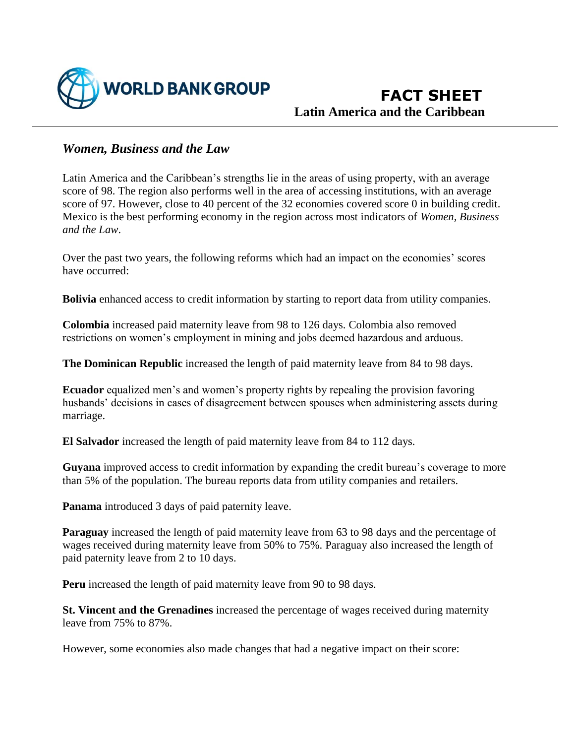

 **FACT SHEET Latin America and the Caribbean**

## *Women, Business and the Law*

Latin America and the Caribbean's strengths lie in the areas of using property, with an average score of 98. The region also performs well in the area of accessing institutions, with an average score of 97. However, close to 40 percent of the 32 economies covered score 0 in building credit. Mexico is the best performing economy in the region across most indicators of *Women, Business and the Law*.

Over the past two years, the following reforms which had an impact on the economies' scores have occurred:

**Bolivia** enhanced access to credit information by starting to report data from utility companies.

**Colombia** increased paid maternity leave from 98 to 126 days. Colombia also removed restrictions on women's employment in mining and jobs deemed hazardous and arduous.

**The Dominican Republic** increased the length of paid maternity leave from 84 to 98 days.

**Ecuador** equalized men's and women's property rights by repealing the provision favoring husbands' decisions in cases of disagreement between spouses when administering assets during marriage.

**El Salvador** increased the length of paid maternity leave from 84 to 112 days.

**Guyana** improved access to credit information by expanding the credit bureau's coverage to more than 5% of the population. The bureau reports data from utility companies and retailers.

**Panama** introduced 3 days of paid paternity leave.

**Paraguay** increased the length of paid maternity leave from 63 to 98 days and the percentage of wages received during maternity leave from 50% to 75%. Paraguay also increased the length of paid paternity leave from 2 to 10 days.

**Peru** increased the length of paid maternity leave from 90 to 98 days.

**St. Vincent and the Grenadines** increased the percentage of wages received during maternity leave from 75% to 87%.

However, some economies also made changes that had a negative impact on their score: